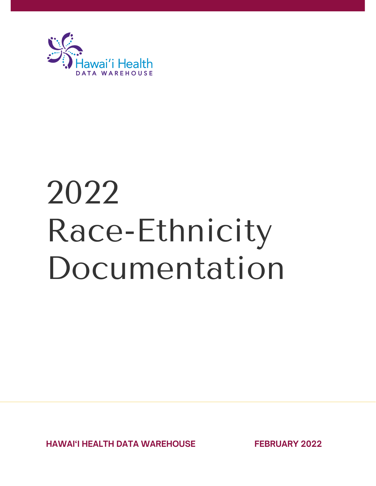

# 2022 Race-Ethnicity Documentation

**HAWAI'I HEALTH DATA WAREHOUSE FEBRUARY 2022**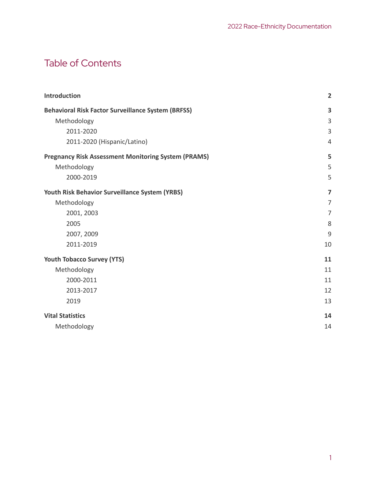# Table of Contents

| <b>Introduction</b>                                        | $\overline{2}$ |
|------------------------------------------------------------|----------------|
| <b>Behavioral Risk Factor Surveillance System (BRFSS)</b>  | 3              |
| Methodology                                                | 3              |
| 2011-2020                                                  | 3              |
| 2011-2020 (Hispanic/Latino)                                | $\overline{4}$ |
| <b>Pregnancy Risk Assessment Monitoring System (PRAMS)</b> | 5              |
| Methodology                                                | 5              |
| 2000-2019                                                  | 5              |
| Youth Risk Behavior Surveillance System (YRBS)             | $\overline{7}$ |
| Methodology                                                | 7              |
| 2001, 2003                                                 | $\overline{7}$ |
| 2005                                                       | 8              |
| 2007, 2009                                                 | 9              |
| 2011-2019                                                  | 10             |
| <b>Youth Tobacco Survey (YTS)</b>                          | 11             |
| Methodology                                                | 11             |
| 2000-2011                                                  | 11             |
| 2013-2017                                                  | 12             |
| 2019                                                       | 13             |
| <b>Vital Statistics</b>                                    | 14             |
| Methodology                                                | 14             |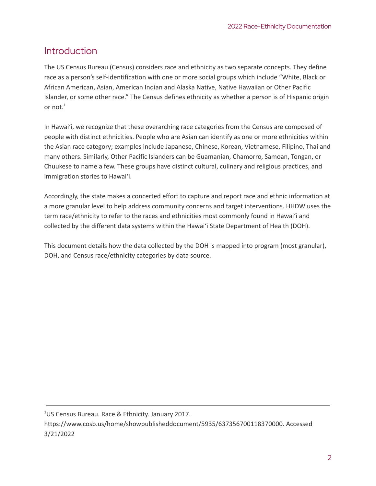# <span id="page-2-0"></span>**Introduction**

The US Census Bureau (Census) considers race and ethnicity as two separate concepts. They define race as a person's self-identification with one or more social groups which include "White, Black or African American, Asian, American Indian and Alaska Native, Native Hawaiian or Other Pacific Islander, or some other race." The Census defines ethnicity as whether a person is of Hispanic origin or not. 1

In Hawai'i, we recognize that these overarching race categories from the Census are composed of people with distinct ethnicities. People who are Asian can identify as one or more ethnicities within the Asian race category; examples include Japanese, Chinese, Korean, Vietnamese, Filipino, Thai and many others. Similarly, Other Pacific Islanders can be Guamanian, Chamorro, Samoan, Tongan, or Chuukese to name a few. These groups have distinct cultural, culinary and religious practices, and immigration stories to Hawai'i.

Accordingly, the state makes a concerted effort to capture and report race and ethnic information at a more granular level to help address community concerns and target interventions. HHDW uses the term race/ethnicity to refer to the races and ethnicities most commonly found in Hawai'i and collected by the different data systems within the Hawai'i State Department of Health (DOH).

This document details how the data collected by the DOH is mapped into program (most granular), DOH, and Census race/ethnicity categories by data source.

<sup>1</sup>US Census Bureau. Race & Ethnicity. January 2017. https://www.cosb.us/home/showpublisheddocument/5935/637356700118370000. Accessed 3/21/2022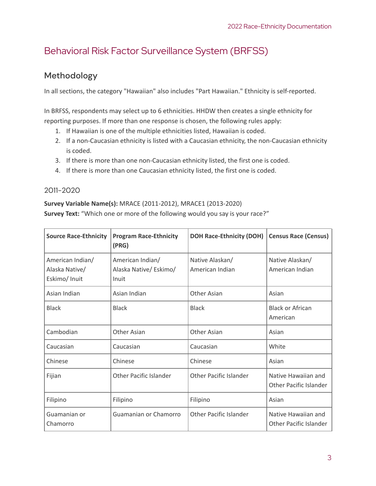# <span id="page-3-0"></span>Behavioral Risk Factor Surveillance System (BRFSS)

## <span id="page-3-1"></span>Methodology

In all sections, the category "Hawaiian" also includes "Part Hawaiian." Ethnicity is self-reported.

In BRFSS, respondents may select up to 6 ethnicities. HHDW then creates a single ethnicity for reporting purposes. If more than one response is chosen, the following rules apply:

- 1. If Hawaiian is one of the multiple ethnicities listed, Hawaiian is coded.
- 2. If a non-Caucasian ethnicity is listed with a Caucasian ethnicity, the non-Caucasian ethnicity is coded.
- 3. If there is more than one non-Caucasian ethnicity listed, the first one is coded.
- 4. If there is more than one Caucasian ethnicity listed, the first one is coded.

#### <span id="page-3-2"></span>2011-2020

#### **Survey Variable Name(s):** MRACE (2011-2012), MRACE1 (2013-2020) **Survey Text:** "Which one or more of the following would you say is your race?"

| <b>Source Race-Ethnicity</b>                        | <b>Program Race-Ethnicity</b><br>(PRG)              | <b>DOH Race-Ethnicity (DOH)</b>    | <b>Census Race (Census)</b>                          |
|-----------------------------------------------------|-----------------------------------------------------|------------------------------------|------------------------------------------------------|
| American Indian/<br>Alaska Native/<br>Eskimo/ Inuit | American Indian/<br>Alaska Native/ Eskimo/<br>Inuit | Native Alaskan/<br>American Indian | Native Alaskan/<br>American Indian                   |
| Asian Indian                                        | Asian Indian                                        | <b>Other Asian</b>                 | Asian                                                |
| <b>Black</b>                                        | <b>Black</b>                                        | <b>Black</b>                       | <b>Black or African</b><br>American                  |
| Cambodian                                           | Other Asian                                         | Other Asian                        | Asian                                                |
| Caucasian                                           | Caucasian                                           | Caucasian                          | White                                                |
| Chinese                                             | Chinese                                             | Chinese                            | Asian                                                |
| Fijian                                              | Other Pacific Islander                              | Other Pacific Islander             | Native Hawaiian and<br>Other Pacific Islander        |
| Filipino                                            | Filipino                                            | Filipino                           | Asian                                                |
| Guamanian or<br>Chamorro                            | Guamanian or Chamorro                               | Other Pacific Islander             | Native Hawaiian and<br><b>Other Pacific Islander</b> |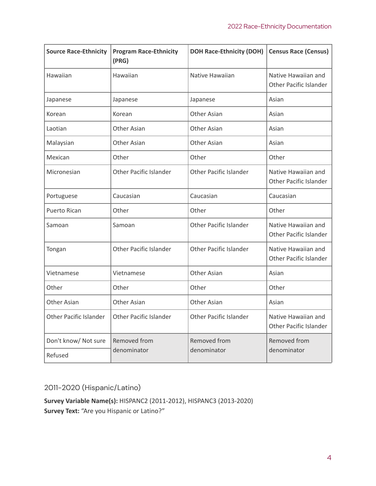| <b>Source Race-Ethnicity</b>  | <b>Program Race-Ethnicity</b><br>(PRG) | <b>DOH Race-Ethnicity (DOH)</b> | <b>Census Race (Census)</b>                          |
|-------------------------------|----------------------------------------|---------------------------------|------------------------------------------------------|
| Hawaiian                      | Hawaiian                               | Native Hawaiian                 | Native Hawaiian and<br>Other Pacific Islander        |
| Japanese                      | Japanese                               | Japanese                        | Asian                                                |
| Korean                        | Korean                                 | Other Asian                     | Asian                                                |
| Laotian                       | Other Asian                            | Other Asian                     | Asian                                                |
| Malaysian                     | <b>Other Asian</b>                     | Other Asian                     | Asian                                                |
| Mexican                       | Other                                  | Other                           | Other                                                |
| Micronesian                   | <b>Other Pacific Islander</b>          | <b>Other Pacific Islander</b>   | Native Hawaiian and<br>Other Pacific Islander        |
| Portuguese                    | Caucasian                              | Caucasian                       | Caucasian                                            |
| Puerto Rican                  | Other                                  | Other                           | Other                                                |
| Samoan                        | Samoan                                 | <b>Other Pacific Islander</b>   | Native Hawaiian and<br><b>Other Pacific Islander</b> |
| Tongan                        | <b>Other Pacific Islander</b>          | <b>Other Pacific Islander</b>   | Native Hawaiian and<br>Other Pacific Islander        |
| Vietnamese                    | Vietnamese                             | <b>Other Asian</b>              | Asian                                                |
| Other                         | Other                                  | Other                           | Other                                                |
| Other Asian                   | <b>Other Asian</b>                     | Other Asian                     | Asian                                                |
| <b>Other Pacific Islander</b> | <b>Other Pacific Islander</b>          | <b>Other Pacific Islander</b>   | Native Hawaiian and<br>Other Pacific Islander        |
| Don't know/ Not sure          | Removed from                           | Removed from                    | Removed from                                         |
| Refused                       | denominator                            | denominator                     | denominator                                          |

## <span id="page-4-0"></span>2011-2020 (Hispanic/Latino)

**Survey Variable Name(s):** HISPANC2 (2011-2012), HISPANC3 (2013-2020) **Survey Text:** "Are you Hispanic or Latino?"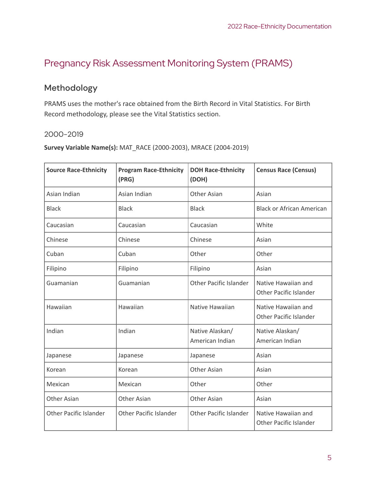# <span id="page-5-0"></span>Pregnancy Risk Assessment Monitoring System (PRAMS)

## <span id="page-5-1"></span>Methodology

PRAMS uses the mother's race obtained from the Birth Record in Vital Statistics. For Birth Record methodology, please see the Vital Statistics section.

#### <span id="page-5-2"></span>2000-2019

**Survey Variable Name(s):** MAT\_RACE (2000-2003), MRACE (2004-2019)

| <b>Source Race-Ethnicity</b>  | <b>Program Race-Ethnicity</b><br>(PRG) | <b>DOH Race-Ethnicity</b><br>(DOH) | <b>Census Race (Census)</b>                          |
|-------------------------------|----------------------------------------|------------------------------------|------------------------------------------------------|
| Asian Indian                  | Asian Indian                           | Other Asian                        | Asian                                                |
| <b>Black</b>                  | <b>Black</b>                           | <b>Black</b>                       | <b>Black or African American</b>                     |
| Caucasian                     | Caucasian                              | Caucasian                          | White                                                |
| Chinese                       | Chinese                                | Chinese                            | Asian                                                |
| Cuban                         | Cuban                                  | Other                              | Other                                                |
| Filipino                      | Filipino                               | Filipino                           | Asian                                                |
| Guamanian                     | Guamanian                              | <b>Other Pacific Islander</b>      | Native Hawaiian and<br><b>Other Pacific Islander</b> |
| Hawaiian                      | Hawaiian                               | Native Hawaiian                    | Native Hawaiian and<br><b>Other Pacific Islander</b> |
| Indian                        | Indian                                 | Native Alaskan/<br>American Indian | Native Alaskan/<br>American Indian                   |
| Japanese                      | Japanese                               | Japanese                           | Asian                                                |
| Korean                        | Korean                                 | <b>Other Asian</b>                 | Asian                                                |
| Mexican                       | Mexican                                | Other                              | Other                                                |
| <b>Other Asian</b>            | Other Asian                            | <b>Other Asian</b>                 | Asian                                                |
| <b>Other Pacific Islander</b> | <b>Other Pacific Islander</b>          | <b>Other Pacific Islander</b>      | Native Hawaiian and<br><b>Other Pacific Islander</b> |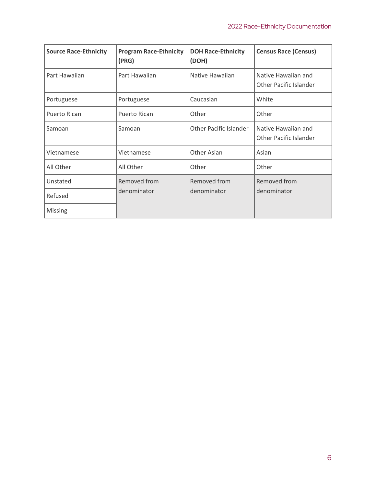| <b>Source Race-Ethnicity</b> | <b>Program Race-Ethnicity</b><br>(PRG) | <b>DOH Race-Ethnicity</b><br>(DOH) | <b>Census Race (Census)</b>                          |
|------------------------------|----------------------------------------|------------------------------------|------------------------------------------------------|
| Part Hawaiian                | Part Hawaiian                          | Native Hawaiian                    | Native Hawaiian and<br>Other Pacific Islander        |
| Portuguese                   | Portuguese                             | Caucasian                          | White                                                |
| Puerto Rican                 | Puerto Rican                           | Other                              | Other                                                |
| Samoan                       | Samoan                                 | <b>Other Pacific Islander</b>      | Native Hawaiian and<br><b>Other Pacific Islander</b> |
| Vietnamese                   | Vietnamese                             | <b>Other Asian</b>                 | Asian                                                |
| All Other                    | All Other                              | Other                              | Other                                                |
| Unstated<br>Refused          | Removed from<br>denominator            | Removed from<br>denominator        | Removed from<br>denominator                          |
| <b>Missing</b>               |                                        |                                    |                                                      |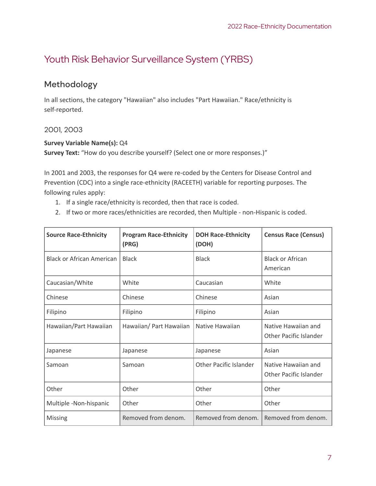# <span id="page-7-0"></span>Youth Risk Behavior Surveillance System (YRBS)

## <span id="page-7-1"></span>Methodology

In all sections, the category "Hawaiian" also includes "Part Hawaiian." Race/ethnicity is self-reported.

#### <span id="page-7-2"></span>2001, 2003

#### **Survey Variable Name(s):** Q4

**Survey Text:** "How do you describe yourself? (Select one or more responses.)"

In 2001 and 2003, the responses for Q4 were re-coded by the Centers for Disease Control and Prevention (CDC) into a single race-ethnicity (RACEETH) variable for reporting purposes. The following rules apply:

- 1. If a single race/ethnicity is recorded, then that race is coded.
- 2. If two or more races/ethnicities are recorded, then Multiple non-Hispanic is coded.

| <b>Source Race-Ethnicity</b>     | <b>Program Race-Ethnicity</b><br>(PRG) | <b>DOH Race-Ethnicity</b><br>(DOH) | <b>Census Race (Census)</b>                          |
|----------------------------------|----------------------------------------|------------------------------------|------------------------------------------------------|
| <b>Black or African American</b> | <b>Black</b>                           | <b>Black</b>                       | <b>Black or African</b><br>American                  |
| Caucasian/White                  | White                                  | Caucasian                          | White                                                |
| Chinese                          | Chinese                                | Chinese                            | Asian                                                |
| Filipino                         | Filipino                               | Filipino                           | Asian                                                |
| Hawaiian/Part Hawaiian           | Hawaiian/ Part Hawaiian                | Native Hawaiian                    | Native Hawaiian and<br><b>Other Pacific Islander</b> |
| Japanese                         | Japanese                               | Japanese                           | Asian                                                |
| Samoan                           | Samoan                                 | <b>Other Pacific Islander</b>      | Native Hawaiian and<br>Other Pacific Islander        |
| Other                            | Other                                  | Other                              | Other                                                |
| Multiple -Non-hispanic           | Other                                  | Other                              | Other                                                |
| <b>Missing</b>                   | Removed from denom.                    | Removed from denom.                | Removed from denom.                                  |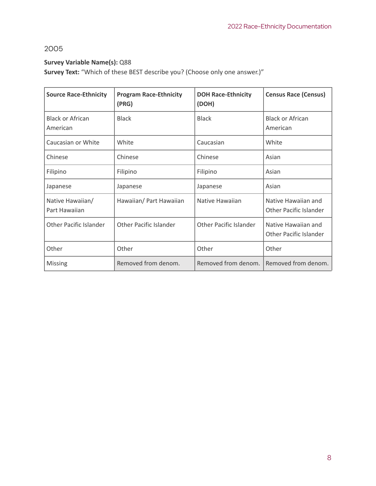## <span id="page-8-0"></span>2005

#### **Survey Variable Name(s):** Q88

**Survey Text:** "Which of these BEST describe you? (Choose only one answer.)"

| <b>Source Race-Ethnicity</b>        | <b>Program Race-Ethnicity</b><br>(PRG) | <b>DOH Race-Ethnicity</b><br>(DOH) | <b>Census Race (Census)</b>                          |
|-------------------------------------|----------------------------------------|------------------------------------|------------------------------------------------------|
| <b>Black or African</b><br>American | <b>Black</b>                           | <b>Black</b>                       | <b>Black or African</b><br>American                  |
| Caucasian or White                  | White                                  | Caucasian                          | White                                                |
| Chinese                             | Chinese                                | Chinese                            | Asian                                                |
| Filipino                            | Filipino                               | Filipino                           | Asian                                                |
| Japanese                            | Japanese                               | Japanese                           | Asian                                                |
| Native Hawaiian/<br>Part Hawaiian   | Hawaiian/ Part Hawaiian                | Native Hawaiian                    | Native Hawaiian and<br><b>Other Pacific Islander</b> |
| <b>Other Pacific Islander</b>       | <b>Other Pacific Islander</b>          | <b>Other Pacific Islander</b>      | Native Hawaiian and<br><b>Other Pacific Islander</b> |
| Other                               | Other                                  | Other                              | Other                                                |
| <b>Missing</b>                      | Removed from denom.                    | Removed from denom.                | Removed from denom.                                  |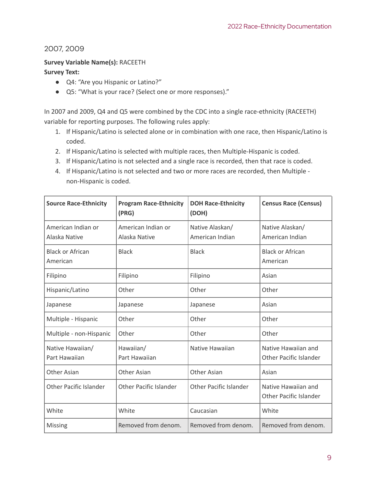<span id="page-9-0"></span>2007, 2009

#### **Survey Variable Name(s):** RACEETH

#### **Survey Text:**

- Q4: "Are you Hispanic or Latino?"
- Q5: "What is your race? (Select one or more responses)."

In 2007 and 2009, Q4 and Q5 were combined by the CDC into a single race-ethnicity (RACEETH) variable for reporting purposes. The following rules apply:

- 1. If Hispanic/Latino is selected alone or in combination with one race, then Hispanic/Latino is coded.
- 2. If Hispanic/Latino is selected with multiple races, then Multiple-Hispanic is coded.
- 3. If Hispanic/Latino is not selected and a single race is recorded, then that race is coded.
- 4. If Hispanic/Latino is not selected and two or more races are recorded, then Multiple non-Hispanic is coded.

| <b>Source Race-Ethnicity</b>        | <b>Program Race-Ethnicity</b><br>(PRG) | <b>DOH Race-Ethnicity</b><br>(DOH) | <b>Census Race (Census)</b>                          |
|-------------------------------------|----------------------------------------|------------------------------------|------------------------------------------------------|
| American Indian or<br>Alaska Native | American Indian or<br>Alaska Native    | Native Alaskan/<br>American Indian | Native Alaskan/<br>American Indian                   |
| <b>Black or African</b><br>American | <b>Black</b>                           | <b>Black</b>                       | <b>Black or African</b><br>American                  |
| Filipino                            | Filipino                               | Filipino                           | Asian                                                |
| Hispanic/Latino                     | Other                                  | Other                              | Other                                                |
| Japanese                            | Japanese                               | Japanese                           | Asian                                                |
| Multiple - Hispanic                 | Other                                  | Other                              | Other                                                |
| Multiple - non-Hispanic             | Other                                  | Other                              | Other                                                |
| Native Hawaiian/<br>Part Hawaiian   | Hawaiian/<br>Part Hawaiian             | Native Hawaiian                    | Native Hawaiian and<br><b>Other Pacific Islander</b> |
| <b>Other Asian</b>                  | <b>Other Asian</b>                     | <b>Other Asian</b>                 | Asian                                                |
| <b>Other Pacific Islander</b>       | <b>Other Pacific Islander</b>          | <b>Other Pacific Islander</b>      | Native Hawaiian and<br><b>Other Pacific Islander</b> |
| White                               | White                                  | Caucasian                          | White                                                |
| Missing                             | Removed from denom.                    | Removed from denom.                | Removed from denom.                                  |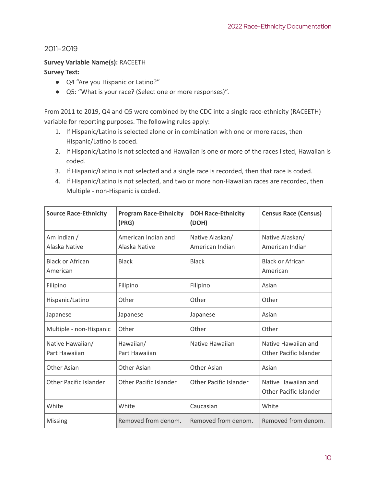<span id="page-10-0"></span>2011-2019

#### **Survey Variable Name(s):** RACEETH

#### **Survey Text:**

- Q4 "Are you Hispanic or Latino?"
- Q5: "What is your race? (Select one or more responses)".

From 2011 to 2019, Q4 and Q5 were combined by the CDC into a single race-ethnicity (RACEETH) variable for reporting purposes. The following rules apply:

- 1. If Hispanic/Latino is selected alone or in combination with one or more races, then Hispanic/Latino is coded.
- 2. If Hispanic/Latino is not selected and Hawaiian is one or more of the races listed, Hawaiian is coded.
- 3. If Hispanic/Latino is not selected and a single race is recorded, then that race is coded.
- 4. If Hispanic/Latino is not selected, and two or more non-Hawaiian races are recorded, then Multiple - non-Hispanic is coded.

| <b>Source Race-Ethnicity</b>        | <b>Program Race-Ethnicity</b><br>(PRG) | <b>DOH Race-Ethnicity</b><br>(DOH) | <b>Census Race (Census)</b>                          |
|-------------------------------------|----------------------------------------|------------------------------------|------------------------------------------------------|
| Am Indian /<br>Alaska Native        | American Indian and<br>Alaska Native   | Native Alaskan/<br>American Indian | Native Alaskan/<br>American Indian                   |
| <b>Black or African</b><br>American | <b>Black</b>                           | <b>Black</b>                       | <b>Black or African</b><br>American                  |
| Filipino                            | Filipino                               | Filipino                           | Asian                                                |
| Hispanic/Latino                     | Other                                  | Other                              | Other                                                |
| Japanese                            | Japanese                               | Japanese                           | Asian                                                |
| Multiple - non-Hispanic             | Other                                  | Other                              | Other                                                |
| Native Hawaiian/<br>Part Hawaiian   | Hawaiian/<br>Part Hawaiian             | Native Hawaiian                    | Native Hawaiian and<br><b>Other Pacific Islander</b> |
| <b>Other Asian</b>                  | <b>Other Asian</b>                     | Other Asian                        | Asian                                                |
| <b>Other Pacific Islander</b>       | <b>Other Pacific Islander</b>          | <b>Other Pacific Islander</b>      | Native Hawaiian and<br><b>Other Pacific Islander</b> |
| White                               | White                                  | Caucasian                          | White                                                |
| <b>Missing</b>                      | Removed from denom.                    | Removed from denom.                | Removed from denom.                                  |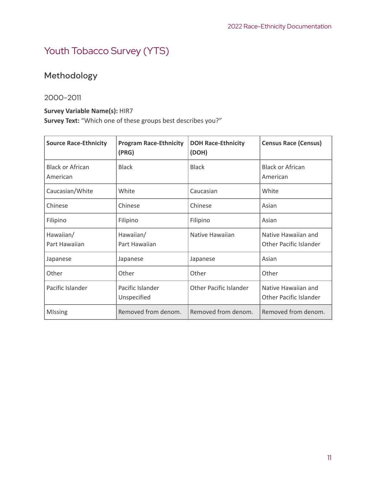# <span id="page-11-0"></span>Youth Tobacco Survey (YTS)

# <span id="page-11-1"></span>Methodology

#### <span id="page-11-2"></span>2000-2011

#### **Survey Variable Name(s):** HIR7

**Survey Text:** "Which one of these groups best describes you?"

| <b>Source Race-Ethnicity</b>        | <b>Program Race-Ethnicity</b><br>(PRG) | <b>DOH Race-Ethnicity</b><br>(DOH) | <b>Census Race (Census)</b>                          |
|-------------------------------------|----------------------------------------|------------------------------------|------------------------------------------------------|
| <b>Black or African</b><br>American | <b>Black</b>                           | <b>Black</b>                       | <b>Black or African</b><br>American                  |
| Caucasian/White                     | White                                  | Caucasian                          | White                                                |
| Chinese                             | Chinese                                | Chinese                            | Asian                                                |
| Filipino                            | Filipino                               | Filipino                           | Asian                                                |
| Hawaiian/<br>Part Hawaiian          | Hawaiian/<br>Part Hawaiian             | Native Hawaiian                    | Native Hawaiian and<br><b>Other Pacific Islander</b> |
| Japanese                            | Japanese                               | Japanese                           | Asian                                                |
| Other                               | Other                                  | Other                              | Other                                                |
| Pacific Islander                    | Pacific Islander<br>Unspecified        | <b>Other Pacific Islander</b>      | Native Hawaiian and<br><b>Other Pacific Islander</b> |
| <b>MIssing</b>                      | Removed from denom.                    | Removed from denom.                | Removed from denom.                                  |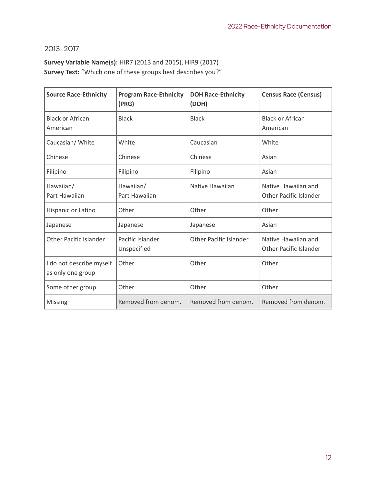### <span id="page-12-0"></span>2013-2017

## **Survey Variable Name(s):** HIR7 (2013 and 2015), HIR9 (2017) **Survey Text:** "Which one of these groups best describes you?"

| <b>Source Race-Ethnicity</b>                  | <b>Program Race-Ethnicity</b><br>(PRG) | <b>DOH Race-Ethnicity</b><br>(DOH) | <b>Census Race (Census)</b>                          |
|-----------------------------------------------|----------------------------------------|------------------------------------|------------------------------------------------------|
| <b>Black or African</b><br>American           | <b>Black</b>                           | <b>Black</b>                       | <b>Black or African</b><br>American                  |
| Caucasian/ White                              | White                                  | Caucasian                          | White                                                |
| Chinese                                       | Chinese                                | Chinese                            | Asian                                                |
| Filipino                                      | Filipino                               | Filipino                           | Asian                                                |
| Hawaiian/<br>Part Hawaiian                    | Hawaiian/<br>Part Hawaiian             | Native Hawaiian                    | Native Hawaiian and<br><b>Other Pacific Islander</b> |
| Hispanic or Latino                            | Other                                  | Other                              | Other                                                |
| Japanese                                      | Japanese                               | Japanese                           | Asian                                                |
| <b>Other Pacific Islander</b>                 | Pacific Islander<br>Unspecified        | <b>Other Pacific Islander</b>      | Native Hawaiian and<br><b>Other Pacific Islander</b> |
| I do not describe myself<br>as only one group | Other                                  | Other                              | Other                                                |
| Some other group                              | Other                                  | Other                              | Other                                                |
| <b>Missing</b>                                | Removed from denom.                    | Removed from denom.                | Removed from denom.                                  |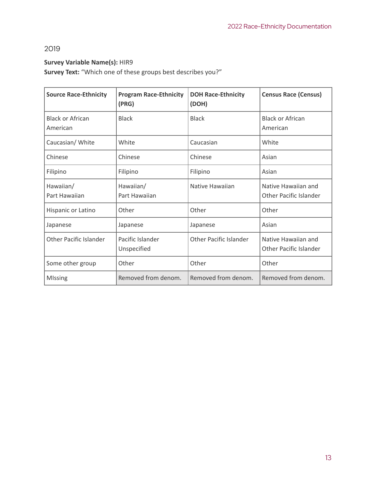## <span id="page-13-0"></span>2019

#### **Survey Variable Name(s):** HIR9

**Survey Text:** "Which one of these groups best describes you?"

| <b>Source Race-Ethnicity</b>        | <b>Program Race-Ethnicity</b><br>(PRG) | <b>DOH Race-Ethnicity</b><br>(DOH) | <b>Census Race (Census)</b>                          |
|-------------------------------------|----------------------------------------|------------------------------------|------------------------------------------------------|
| <b>Black or African</b><br>American | <b>Black</b>                           | <b>Black</b>                       | <b>Black or African</b><br>American                  |
| Caucasian/ White                    | White                                  | Caucasian                          | White                                                |
| Chinese                             | Chinese                                | Chinese                            | Asian                                                |
| Filipino                            | Filipino                               | Filipino                           | Asian                                                |
| Hawaiian/<br>Part Hawaiian          | Hawaiian/<br>Part Hawaiian             | Native Hawaiian                    | Native Hawaiian and<br>Other Pacific Islander        |
| Hispanic or Latino                  | Other                                  | Other                              | Other                                                |
| Japanese                            | Japanese                               | Japanese                           | Asian                                                |
| <b>Other Pacific Islander</b>       | Pacific Islander<br>Unspecified        | <b>Other Pacific Islander</b>      | Native Hawaiian and<br><b>Other Pacific Islander</b> |
| Some other group                    | Other                                  | Other                              | Other                                                |
| <b>MIssing</b>                      | Removed from denom.                    | Removed from denom.                | Removed from denom.                                  |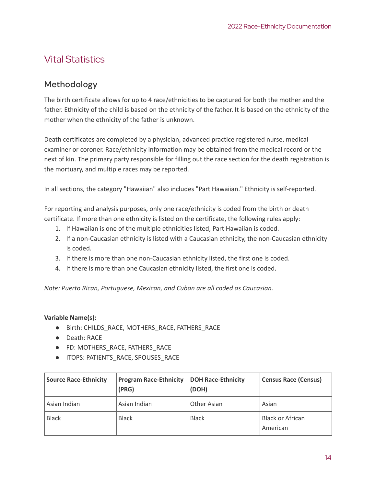# <span id="page-14-0"></span>Vital Statistics

## <span id="page-14-1"></span>Methodology

The birth certificate allows for up to 4 race/ethnicities to be captured for both the mother and the father. Ethnicity of the child is based on the ethnicity of the father. It is based on the ethnicity of the mother when the ethnicity of the father is unknown.

Death certificates are completed by a physician, advanced practice registered nurse, medical examiner or coroner. Race/ethnicity information may be obtained from the medical record or the next of kin. The primary party responsible for filling out the race section for the death registration is the mortuary, and multiple races may be reported.

In all sections, the category "Hawaiian" also includes "Part Hawaiian." Ethnicity is self-reported.

For reporting and analysis purposes, only one race/ethnicity is coded from the birth or death certificate. If more than one ethnicity is listed on the certificate, the following rules apply:

- 1. If Hawaiian is one of the multiple ethnicities listed, Part Hawaiian is coded.
- 2. If a non-Caucasian ethnicity is listed with a Caucasian ethnicity, the non-Caucasian ethnicity is coded.
- 3. If there is more than one non-Caucasian ethnicity listed, the first one is coded.
- 4. If there is more than one Caucasian ethnicity listed, the first one is coded.

*Note: Puerto Rican, Portuguese, Mexican, and Cuban are all coded as Caucasian.*

#### **Variable Name(s):**

- Birth: CHILDS\_RACE, MOTHERS\_RACE, FATHERS\_RACE
- Death: RACE
- FD: MOTHERS\_RACE, FATHERS\_RACE
- ITOPS: PATIENTS\_RACE, SPOUSES\_RACE

| <b>Source Race-Ethnicity</b> | <b>Program Race-Ethnicity</b><br>(PRG) | <b>DOH Race-Ethnicity</b><br>(DOH) | <b>Census Race (Census)</b>         |
|------------------------------|----------------------------------------|------------------------------------|-------------------------------------|
| Asian Indian                 | Asian Indian                           | <b>Other Asian</b>                 | Asian                               |
| <b>Black</b>                 | <b>Black</b>                           | <b>Black</b>                       | <b>Black or African</b><br>American |